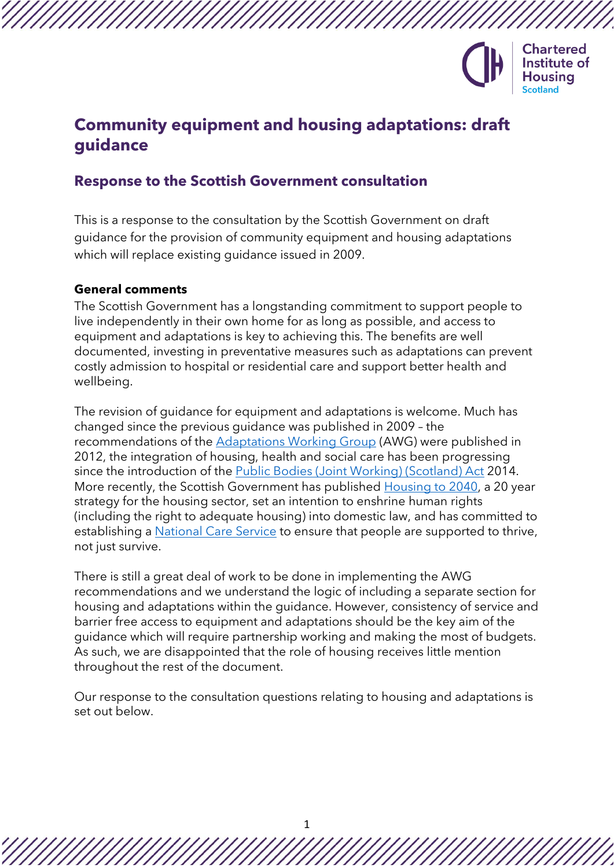

# **Community equipment and housing adaptations: draft guidance**

# **Response to the Scottish Government consultation**

This is a response to the consultation by the Scottish Government on draft guidance for the provision of community equipment and housing adaptations which will replace existing guidance issued in 2009.

#### **General comments**

The Scottish Government has a longstanding commitment to support people to live independently in their own home for as long as possible, and access to equipment and adaptations is key to achieving this. The benefits are well documented, investing in preventative measures such as adaptations can prevent costly admission to hospital or residential care and support better health and wellbeing.

The revision of guidance for equipment and adaptations is welcome. Much has changed since the previous guidance was published in 2009 – the recommendations of the [Adaptations Working Group](https://www.gov.scot/publications/adapting-for-change-final-report-adaptations-working-group/) (AWG) were published in 2012, the integration of housing, health and social care has been progressing since the introduction of the [Public Bodies \(Joint Working\) \(Scotland\) Act](https://www.legislation.gov.uk/asp/2014/9/contents/enacted) 2014. More recently, the Scottish Government has published [Housing to 2040,](https://www.gov.scot/publications/housing-2040-2/) a 20 year strategy for the housing sector, set an intention to enshrine human rights (including the right to adequate housing) into domestic law, and has committed to establishing a [National Care Service](https://consult.gov.scot/health-and-social-care/a-national-care-service-for-scotland/) to ensure that people are supported to thrive, not just survive.

There is still a great deal of work to be done in implementing the AWG recommendations and we understand the logic of including a separate section for housing and adaptations within the guidance. However, consistency of service and barrier free access to equipment and adaptations should be the key aim of the guidance which will require partnership working and making the most of budgets. As such, we are disappointed that the role of housing receives little mention throughout the rest of the document.

Our response to the consultation questions relating to housing and adaptations is set out below.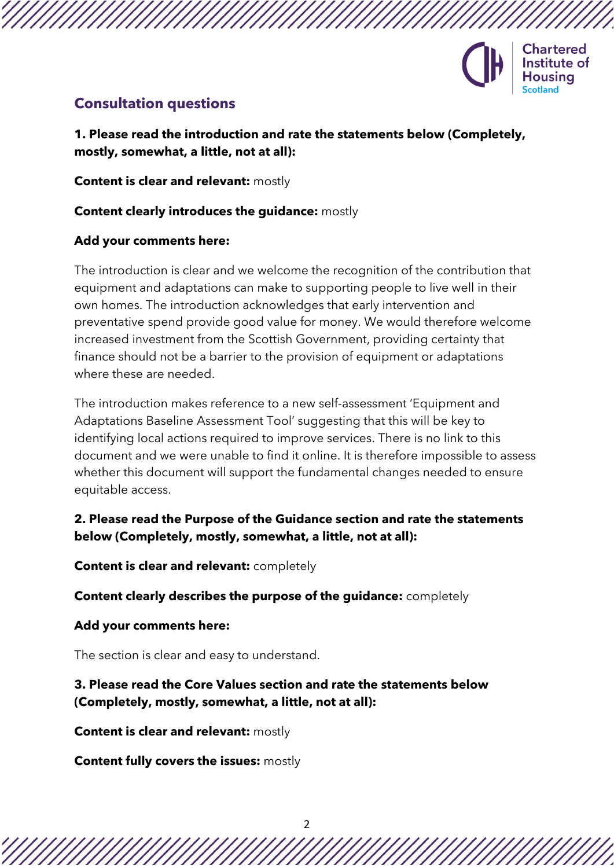

# **Consultation questions**

**1. Please read the introduction and rate the statements below (Completely, mostly, somewhat, a little, not at all):**

**Content is clear and relevant:** mostly

## **Content clearly introduces the guidance:** mostly

### **Add your comments here:**

The introduction is clear and we welcome the recognition of the contribution that equipment and adaptations can make to supporting people to live well in their own homes. The introduction acknowledges that early intervention and preventative spend provide good value for money. We would therefore welcome increased investment from the Scottish Government, providing certainty that finance should not be a barrier to the provision of equipment or adaptations where these are needed.

The introduction makes reference to a new self-assessment 'Equipment and Adaptations Baseline Assessment Tool' suggesting that this will be key to identifying local actions required to improve services. There is no link to this document and we were unable to find it online. It is therefore impossible to assess whether this document will support the fundamental changes needed to ensure equitable access.

# **2. Please read the Purpose of the Guidance section and rate the statements below (Completely, mostly, somewhat, a little, not at all):**

**Content is clear and relevant:** completely

**Content clearly describes the purpose of the guidance:** completely

#### **Add your comments here:**

The section is clear and easy to understand.

# **3. Please read the Core Values section and rate the statements below (Completely, mostly, somewhat, a little, not at all):**

**Content is clear and relevant:** mostly

**Content fully covers the issues:** mostly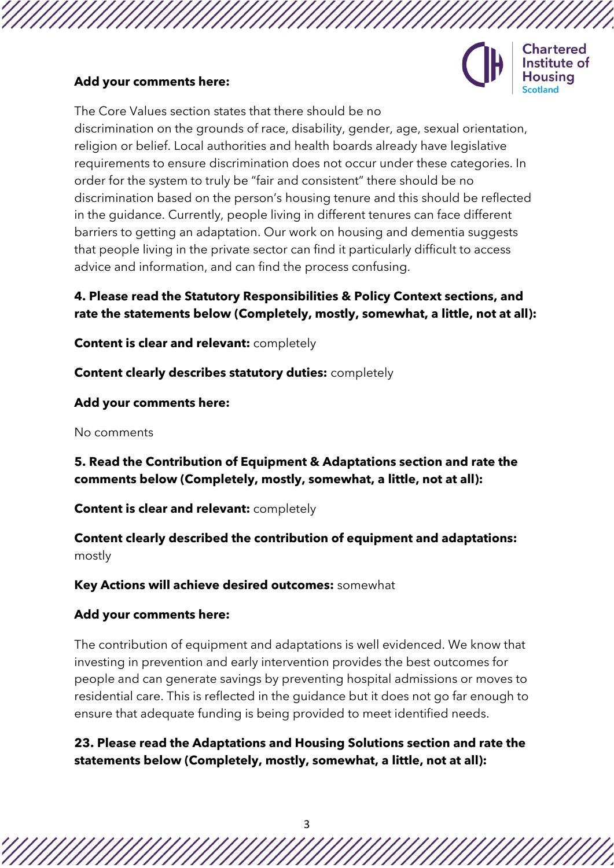### **Add your comments here:**



Chartered Institute of

The Core Values section states that there should be no discrimination on the grounds of race, disability, gender, age, sexual orientation, religion or belief. Local authorities and health boards already have legislative requirements to ensure discrimination does not occur under these categories. In order for the system to truly be "fair and consistent" there should be no discrimination based on the person's housing tenure and this should be reflected in the guidance. Currently, people living in different tenures can face different barriers to getting an adaptation. Our work on housing and dementia suggests that people living in the private sector can find it particularly difficult to access advice and information, and can find the process confusing.

# **4. Please read the Statutory Responsibilities & Policy Context sections, and rate the statements below (Completely, mostly, somewhat, a little, not at all):**

**Content is clear and relevant:** completely

**Content clearly describes statutory duties:** completely

**Add your comments here:** 

No comments

**5. Read the Contribution of Equipment & Adaptations section and rate the comments below (Completely, mostly, somewhat, a little, not at all):**

**Content is clear and relevant:** completely

**Content clearly described the contribution of equipment and adaptations:** mostly

**Key Actions will achieve desired outcomes:** somewhat

# **Add your comments here:**

The contribution of equipment and adaptations is well evidenced. We know that investing in prevention and early intervention provides the best outcomes for people and can generate savings by preventing hospital admissions or moves to residential care. This is reflected in the guidance but it does not go far enough to ensure that adequate funding is being provided to meet identified needs.

# **23. Please read the Adaptations and Housing Solutions section and rate the statements below (Completely, mostly, somewhat, a little, not at all):**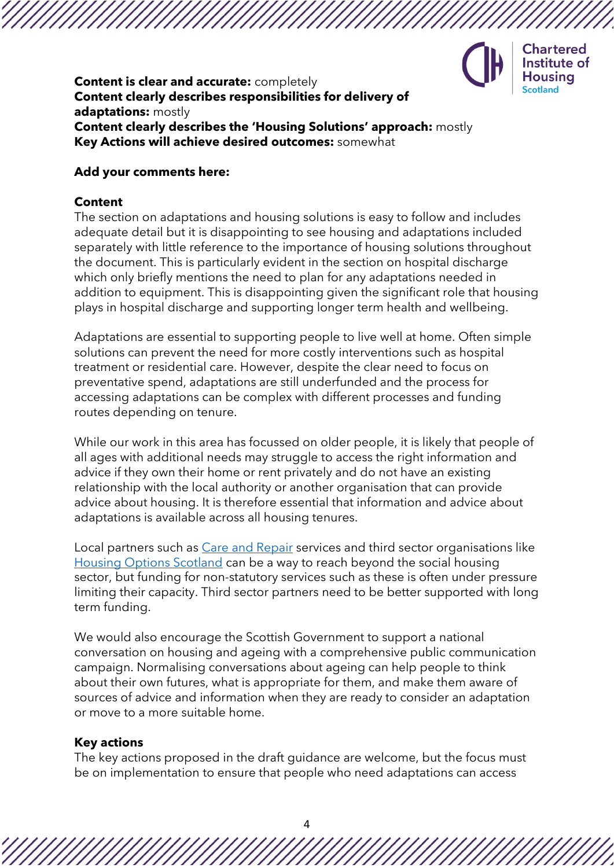

**Chartered** Institute of **Housing** 

#### **Content is clear and accurate:** completely **Content clearly describes responsibilities for delivery of adaptations:** mostly **Content clearly describes the 'Housing Solutions' approach:** mostly **Key Actions will achieve desired outcomes:** somewhat

#### **Add your comments here:**

#### **Content**

The section on adaptations and housing solutions is easy to follow and includes adequate detail but it is disappointing to see housing and adaptations included separately with little reference to the importance of housing solutions throughout the document. This is particularly evident in the section on hospital discharge which only briefly mentions the need to plan for any adaptations needed in addition to equipment. This is disappointing given the significant role that housing plays in hospital discharge and supporting longer term health and wellbeing.

Adaptations are essential to supporting people to live well at home. Often simple solutions can prevent the need for more costly interventions such as hospital treatment or residential care. However, despite the clear need to focus on preventative spend, adaptations are still underfunded and the process for accessing adaptations can be complex with different processes and funding routes depending on tenure.

While our work in this area has focussed on older people, it is likely that people of all ages with additional needs may struggle to access the right information and advice if they own their home or rent privately and do not have an existing relationship with the local authority or another organisation that can provide advice about housing. It is therefore essential that information and advice about adaptations is available across all housing tenures.

Local partners such as [Care and Repair](http://careandrepairscotland.co.uk/) services and third sector organisations like [Housing Options Scotland](https://housingoptionsscotland.org.uk/) can be a way to reach beyond the social housing sector, but funding for non-statutory services such as these is often under pressure limiting their capacity. Third sector partners need to be better supported with long term funding.

We would also encourage the Scottish Government to support a national conversation on housing and ageing with a comprehensive public communication campaign. Normalising conversations about ageing can help people to think about their own futures, what is appropriate for them, and make them aware of sources of advice and information when they are ready to consider an adaptation or move to a more suitable home.

#### **Key actions**

The key actions proposed in the draft guidance are welcome, but the focus must be on implementation to ensure that people who need adaptations can access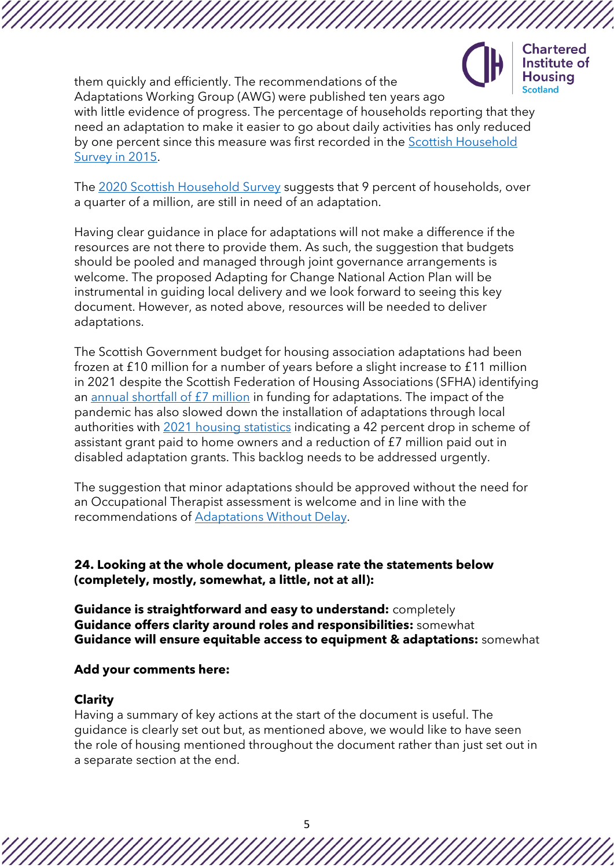

Housina them quickly and efficiently. The recommendations of the Adaptations Working Group (AWG) were published ten years ago with little evidence of progress. The percentage of households reporting that they need an adaptation to make it easier to go about daily activities has only reduced by one percent since this measure was first recorded in the [Scottish Household](https://webarchive.nrscotland.gov.uk/20200702134408/http:/www.gov.scot/publications/scotlands-people-results-2015-scottish-household-survey/)  [Survey in 2015.](https://webarchive.nrscotland.gov.uk/20200702134408/http:/www.gov.scot/publications/scotlands-people-results-2015-scottish-household-survey/)

The [2020 Scottish Household Survey](https://www.gov.scot/publications/scottish-household-survey-2020-telephone-survey-key-findings/) suggests that 9 percent of households, over a quarter of a million, are still in need of an adaptation.

Having clear guidance in place for adaptations will not make a difference if the resources are not there to provide them. As such, the suggestion that budgets should be pooled and managed through joint governance arrangements is welcome. The proposed Adapting for Change National Action Plan will be instrumental in guiding local delivery and we look forward to seeing this key document. However, as noted above, resources will be needed to deliver adaptations.

The Scottish Government budget for housing association adaptations had been frozen at £10 million for a number of years before a slight increase to £11 million in 2021 despite the Scottish Federation of Housing Associations (SFHA) identifying an [annual shortfall of £7 million](https://www.sfha.co.uk/news/news-category/sfha-news/news-article/sfha-scottish-government-must-commit-to-long-term-funding-beyond-2021) in funding for adaptations. The impact of the pandemic has also slowed down the installation of adaptations through local authorities with [2021 housing statistics](https://www.gov.scot/news/annual-housing-statistics-2020-21/) indicating a 42 percent drop in scheme of assistant grant paid to home owners and a reduction of £7 million paid out in disabled adaptation grants. This backlog needs to be addressed urgently.

The suggestion that minor adaptations should be approved without the need for an Occupational Therapist assessment is welcome and in line with the recommendations of [Adaptations Without Delay.](https://www.housinglin.org.uk/Topics/type/Adaptations-Without-Delay/)

**24. Looking at the whole document, please rate the statements below (completely, mostly, somewhat, a little, not at all):**

**Guidance is straightforward and easy to understand:** completely **Guidance offers clarity around roles and responsibilities:** somewhat **Guidance will ensure equitable access to equipment & adaptations:** somewhat

#### **Add your comments here:**

#### **Clarity**

Having a summary of key actions at the start of the document is useful. The guidance is clearly set out but, as mentioned above, we would like to have seen the role of housing mentioned throughout the document rather than just set out in a separate section at the end.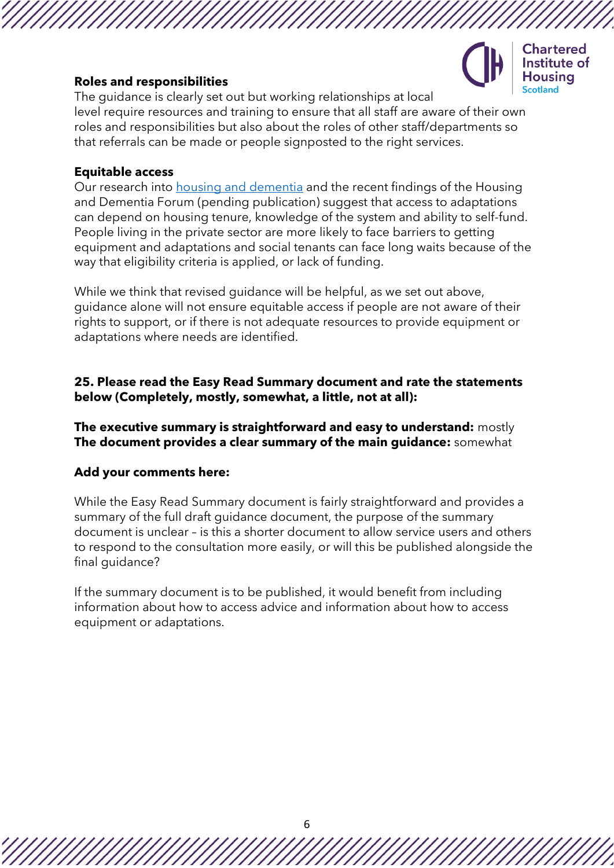**Chartered** Institute of usina

# **Roles and responsibilities**

The guidance is clearly set out but working relationships at local level require resources and training to ensure that all staff are aware of their own roles and responsibilities but also about the roles of other staff/departments so that referrals can be made or people signposted to the right services.

## **Equitable access**

Our research into [housing and dementia](https://www.cih.org/policy/scottish-housing-and-dementia-framework) and the recent findings of the Housing and Dementia Forum (pending publication) suggest that access to adaptations can depend on housing tenure, knowledge of the system and ability to self-fund. People living in the private sector are more likely to face barriers to getting equipment and adaptations and social tenants can face long waits because of the way that eligibility criteria is applied, or lack of funding.

While we think that revised guidance will be helpful, as we set out above, guidance alone will not ensure equitable access if people are not aware of their rights to support, or if there is not adequate resources to provide equipment or adaptations where needs are identified.

## **25. Please read the Easy Read Summary document and rate the statements below (Completely, mostly, somewhat, a little, not at all):**

**The executive summary is straightforward and easy to understand:** mostly **The document provides a clear summary of the main guidance:** somewhat

# **Add your comments here:**

While the Easy Read Summary document is fairly straightforward and provides a summary of the full draft guidance document, the purpose of the summary document is unclear – is this a shorter document to allow service users and others to respond to the consultation more easily, or will this be published alongside the final guidance?

If the summary document is to be published, it would benefit from including information about how to access advice and information about how to access equipment or adaptations.